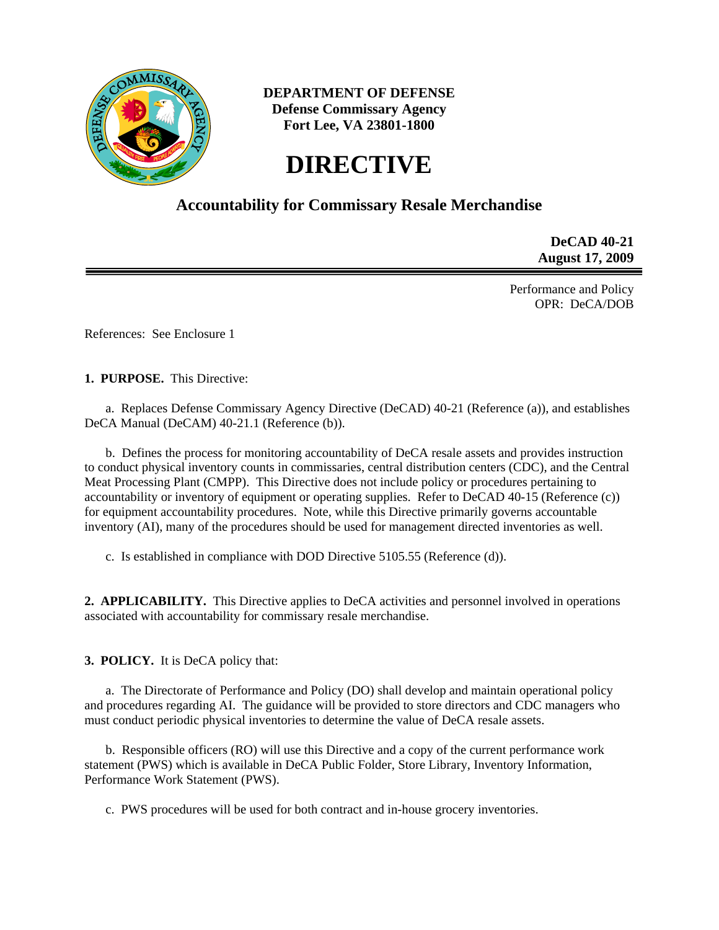

# **DEPARTMENT OF DEFENSE Defense Commissary Agency Fort Lee, VA 23801-1800**

# **DIRECTIVE**

# **Accountability for Commissary Resale Merchandise**

**DeCAD 40-21 August 17, 2009** 

Performance and Policy OPR: DeCA/DOB

References: See Enclosure 1

**1. PURPOSE.** This Directive:

 a. Replaces Defense Commissary Agency Directive (DeCAD) 40-21 (Reference (a)), and establishes DeCA Manual (DeCAM) 40-21.1 (Reference (b)).

 b. Defines the process for monitoring accountability of DeCA resale assets and provides instruction to conduct physical inventory counts in commissaries, central distribution centers (CDC), and the Central Meat Processing Plant (CMPP). This Directive does not include policy or procedures pertaining to accountability or inventory of equipment or operating supplies. Refer to DeCAD 40-15 (Reference (c)) for equipment accountability procedures. Note, while this Directive primarily governs accountable inventory (AI), many of the procedures should be used for management directed inventories as well.

c. Is established in compliance with DOD Directive 5105.55 (Reference (d)).

**2. APPLICABILITY.** This Directive applies to DeCA activities and personnel involved in operations associated with accountability for commissary resale merchandise.

**3. POLICY.** It is DeCA policy that:

 a. The Directorate of Performance and Policy (DO) shall develop and maintain operational policy and procedures regarding AI. The guidance will be provided to store directors and CDC managers who must conduct periodic physical inventories to determine the value of DeCA resale assets.

b. Responsible officers (RO) will use this Directive and a copy of the current performance work statement (PWS) which is available in DeCA Public Folder, Store Library, Inventory Information, Performance Work Statement (PWS).

c. PWS procedures will be used for both contract and in-house grocery inventories.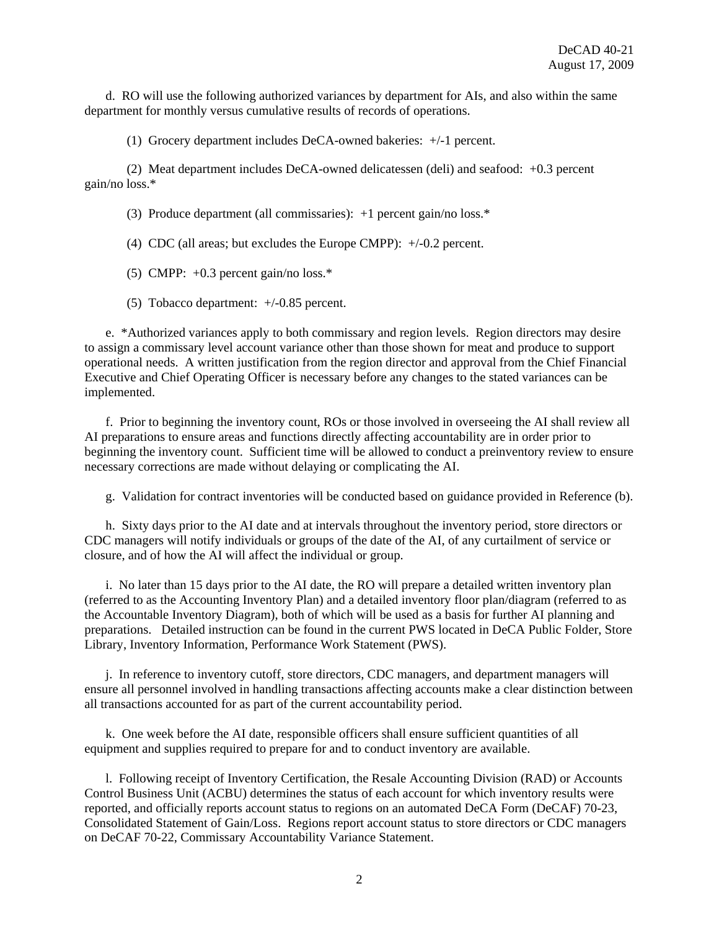d. RO will use the following authorized variances by department for AIs, and also within the same department for monthly versus cumulative results of records of operations.

(1) Grocery department includes DeCA-owned bakeries: +/-1 percent.

 (2) Meat department includes DeCA-owned delicatessen (deli) and seafood: +0.3 percent gain/no loss.\*

(3) Produce department (all commissaries): +1 percent gain/no loss.\*

(4) CDC (all areas; but excludes the Europe CMPP): +/-0.2 percent.

(5) CMPP:  $+0.3$  percent gain/no loss.\*

(5) Tobacco department: +/-0.85 percent.

 e. \*Authorized variances apply to both commissary and region levels. Region directors may desire to assign a commissary level account variance other than those shown for meat and produce to support operational needs. A written justification from the region director and approval from the Chief Financial Executive and Chief Operating Officer is necessary before any changes to the stated variances can be implemented.

f. Prior to beginning the inventory count, ROs or those involved in overseeing the AI shall review all AI preparations to ensure areas and functions directly affecting accountability are in order prior to beginning the inventory count. Sufficient time will be allowed to conduct a preinventory review to ensure necessary corrections are made without delaying or complicating the AI.

g. Validation for contract inventories will be conducted based on guidance provided in Reference (b).

 h. Sixty days prior to the AI date and at intervals throughout the inventory period, store directors or CDC managers will notify individuals or groups of the date of the AI, of any curtailment of service or closure, and of how the AI will affect the individual or group.

 i. No later than 15 days prior to the AI date, the RO will prepare a detailed written inventory plan (referred to as the Accounting Inventory Plan) and a detailed inventory floor plan/diagram (referred to as the Accountable Inventory Diagram), both of which will be used as a basis for further AI planning and preparations. Detailed instruction can be found in the current PWS located in DeCA Public Folder, Store Library, Inventory Information, Performance Work Statement (PWS).

 j. In reference to inventory cutoff, store directors, CDC managers, and department managers will ensure all personnel involved in handling transactions affecting accounts make a clear distinction between all transactions accounted for as part of the current accountability period.

 k. One week before the AI date, responsible officers shall ensure sufficient quantities of all equipment and supplies required to prepare for and to conduct inventory are available.

 l. Following receipt of Inventory Certification, the Resale Accounting Division (RAD) or Accounts Control Business Unit (ACBU) determines the status of each account for which inventory results were reported, and officially reports account status to regions on an automated DeCA Form (DeCAF) 70-23, Consolidated Statement of Gain/Loss. Regions report account status to store directors or CDC managers on DeCAF 70-22, Commissary Accountability Variance Statement.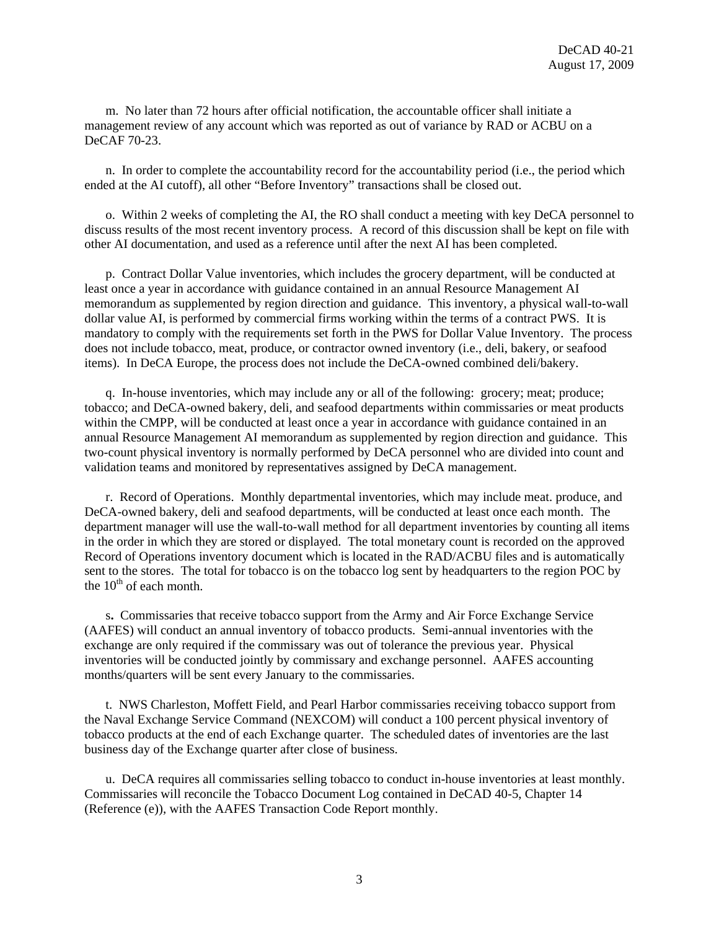m. No later than 72 hours after official notification, the accountable officer shall initiate a management review of any account which was reported as out of variance by RAD or ACBU on a DeCAF 70-23.

 n. In order to complete the accountability record for the accountability period (i.e., the period which ended at the AI cutoff), all other "Before Inventory" transactions shall be closed out.

 o. Within 2 weeks of completing the AI, the RO shall conduct a meeting with key DeCA personnel to discuss results of the most recent inventory process. A record of this discussion shall be kept on file with other AI documentation, and used as a reference until after the next AI has been completed.

 p. Contract Dollar Value inventories, which includes the grocery department, will be conducted at least once a year in accordance with guidance contained in an annual Resource Management AI memorandum as supplemented by region direction and guidance. This inventory, a physical wall-to-wall dollar value AI, is performed by commercial firms working within the terms of a contract PWS. It is mandatory to comply with the requirements set forth in the PWS for Dollar Value Inventory. The process does not include tobacco, meat, produce, or contractor owned inventory (i.e., deli, bakery, or seafood items). In DeCA Europe, the process does not include the DeCA-owned combined deli/bakery.

 q. In-house inventories, which may include any or all of the following: grocery; meat; produce; tobacco; and DeCA-owned bakery, deli, and seafood departments within commissaries or meat products within the CMPP, will be conducted at least once a year in accordance with guidance contained in an annual Resource Management AI memorandum as supplemented by region direction and guidance. This two-count physical inventory is normally performed by DeCA personnel who are divided into count and validation teams and monitored by representatives assigned by DeCA management.

 r. Record of Operations. Monthly departmental inventories, which may include meat. produce, and DeCA-owned bakery, deli and seafood departments, will be conducted at least once each month. The department manager will use the wall-to-wall method for all department inventories by counting all items in the order in which they are stored or displayed. The total monetary count is recorded on the approved Record of Operations inventory document which is located in the RAD/ACBU files and is automatically sent to the stores. The total for tobacco is on the tobacco log sent by headquarters to the region POC by the  $10^{th}$  of each month.

 s**.** Commissaries that receive tobacco support from the Army and Air Force Exchange Service (AAFES) will conduct an annual inventory of tobacco products. Semi-annual inventories with the exchange are only required if the commissary was out of tolerance the previous year. Physical inventories will be conducted jointly by commissary and exchange personnel. AAFES accounting months/quarters will be sent every January to the commissaries.

 t. NWS Charleston, Moffett Field, and Pearl Harbor commissaries receiving tobacco support from the Naval Exchange Service Command (NEXCOM) will conduct a 100 percent physical inventory of tobacco products at the end of each Exchange quarter. The scheduled dates of inventories are the last business day of the Exchange quarter after close of business.

 u. DeCA requires all commissaries selling tobacco to conduct in-house inventories at least monthly. Commissaries will reconcile the Tobacco Document Log contained in DeCAD 40-5, Chapter 14 (Reference (e)), with the AAFES Transaction Code Report monthly.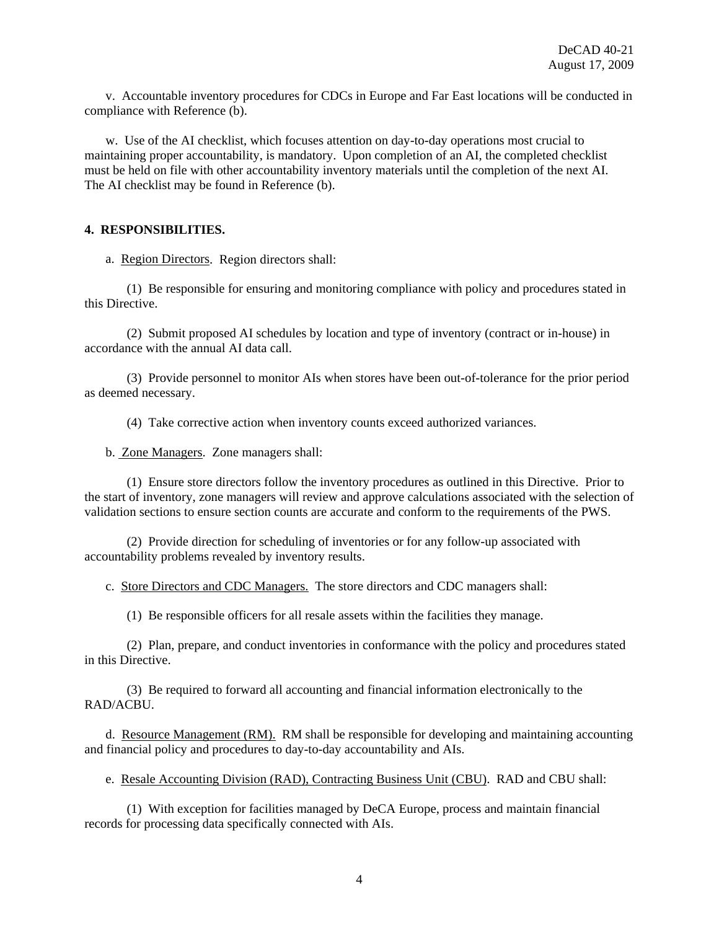v. Accountable inventory procedures for CDCs in Europe and Far East locations will be conducted in compliance with Reference (b).

 w. Use of the AI checklist, which focuses attention on day-to-day operations most crucial to maintaining proper accountability, is mandatory. Upon completion of an AI, the completed checklist must be held on file with other accountability inventory materials until the completion of the next AI. The AI checklist may be found in Reference (b).

#### **4. RESPONSIBILITIES.**

a. Region Directors. Region directors shall:

 (1) Be responsible for ensuring and monitoring compliance with policy and procedures stated in this Directive.

 (2) Submit proposed AI schedules by location and type of inventory (contract or in-house) in accordance with the annual AI data call.

 (3) Provide personnel to monitor AIs when stores have been out-of-tolerance for the prior period as deemed necessary.

(4) Take corrective action when inventory counts exceed authorized variances.

b. Zone Managers. Zone managers shall:

 (1) Ensure store directors follow the inventory procedures as outlined in this Directive. Prior to the start of inventory, zone managers will review and approve calculations associated with the selection of validation sections to ensure section counts are accurate and conform to the requirements of the PWS.

 (2) Provide direction for scheduling of inventories or for any follow-up associated with accountability problems revealed by inventory results.

c. Store Directors and CDC Managers. The store directors and CDC managers shall:

(1) Be responsible officers for all resale assets within the facilities they manage.

 (2) Plan, prepare, and conduct inventories in conformance with the policy and procedures stated in this Directive.

 (3) Be required to forward all accounting and financial information electronically to the RAD/ACBU.

 d. Resource Management (RM). RM shall be responsible for developing and maintaining accounting and financial policy and procedures to day-to-day accountability and AIs.

e. Resale Accounting Division (RAD), Contracting Business Unit (CBU). RAD and CBU shall:

 (1) With exception for facilities managed by DeCA Europe, process and maintain financial records for processing data specifically connected with AIs.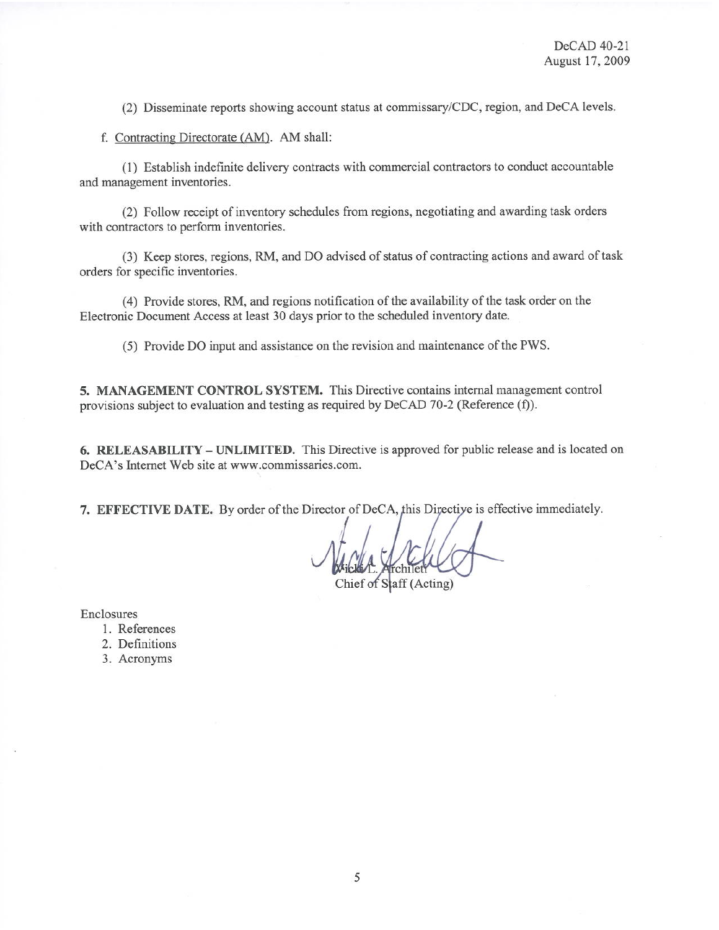(2) Disseminate reports showing account status at commissary/CDC, region, and DeCA levels.

f. Contracting Directorate (AM). AM shall:

(1) Establish indefinite delivery contracts with commercial contractors to conduct accountable and management inventories.

(2) Follow receipt of inventory schedules from regions, negotiating and awarding task orders with contractors to perform inventories.

(3) Keep stores, regions, RM, and DO advised of status of contracting actions and award of task orders for specific inventories.

(4) Provide stores, RM, and regions notification of the availability of the task order on the Electronic Document Access at least 30 days prior to the scheduled inventory date.

(5) Provide DO input and assistance on the revision and maintenance of the PWS.

5. MANAGEMENT CONTROL SYSTEM. This Directive contains internal management control provisions subject to evaluation and testing as required by DeCAD 70-2 (Reference (f)).

6. RELEASABILITY – UNLIMITED. This Directive is approved for public release and is located on DeCA's Internet Web site at www.commissaries.com.

7. EFFECTIVE DATE. By order of the Director of DeCA, this Directive is effective immediately.

Chief of Staff (Acting)

Enclosures

- 1. References
- 2. Definitions
- 3. Acronyms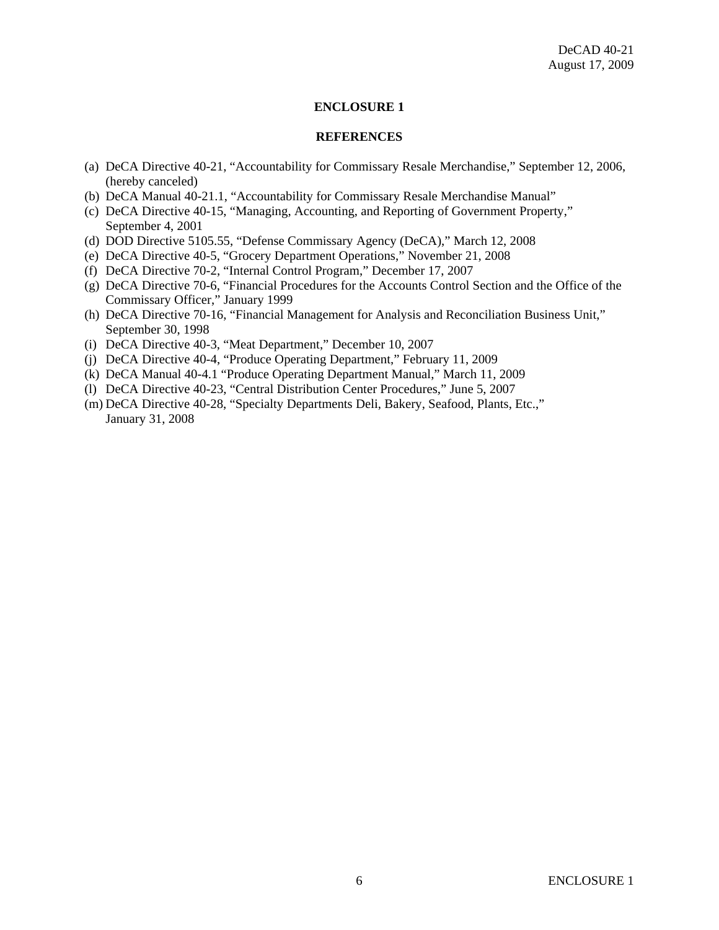#### **ENCLOSURE 1**

#### **REFERENCES**

- (a) DeCA Directive 40-21, "Accountability for Commissary Resale Merchandise," September 12, 2006, (hereby canceled)
- (b) DeCA Manual 40-21.1, "Accountability for Commissary Resale Merchandise Manual"
- (c) DeCA Directive 40-15, "Managing, Accounting, and Reporting of Government Property," September 4, 2001
- (d) DOD Directive 5105.55, "Defense Commissary Agency (DeCA)," March 12, 2008
- (e) DeCA Directive 40-5, "Grocery Department Operations," November 21, 2008
- (f) DeCA Directive 70-2, "Internal Control Program," December 17, 2007
- (g) DeCA Directive 70-6, "Financial Procedures for the Accounts Control Section and the Office of the Commissary Officer," January 1999
- (h) DeCA Directive 70-16, "Financial Management for Analysis and Reconciliation Business Unit," September 30, 1998
- (i) DeCA Directive 40-3, "Meat Department," December 10, 2007
- (j) DeCA Directive 40-4, "Produce Operating Department," February 11, 2009
- (k) DeCA Manual 40-4.1 "Produce Operating Department Manual," March 11, 2009
- (l) DeCA Directive 40-23, "Central Distribution Center Procedures," June 5, 2007
- (m) DeCA Directive 40-28, "Specialty Departments Deli, Bakery, Seafood, Plants, Etc.," January 31, 2008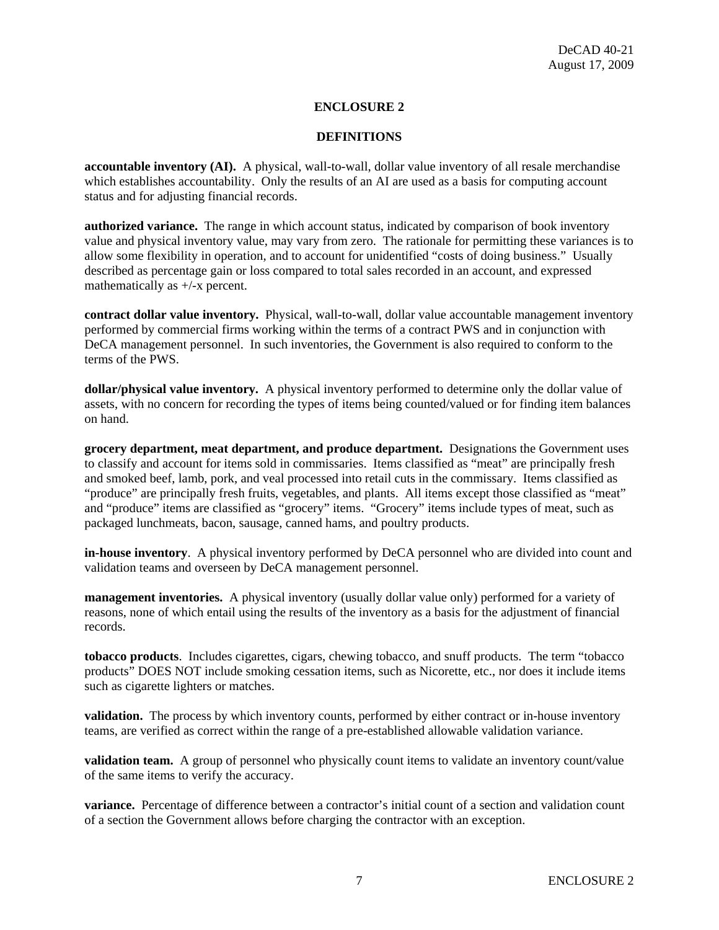### **ENCLOSURE 2**

#### **DEFINITIONS**

**accountable inventory (AI).** A physical, wall-to-wall, dollar value inventory of all resale merchandise which establishes accountability. Only the results of an AI are used as a basis for computing account status and for adjusting financial records.

**authorized variance.** The range in which account status, indicated by comparison of book inventory value and physical inventory value, may vary from zero. The rationale for permitting these variances is to allow some flexibility in operation, and to account for unidentified "costs of doing business." Usually described as percentage gain or loss compared to total sales recorded in an account, and expressed mathematically as +/-x percent.

**contract dollar value inventory.** Physical, wall-to-wall, dollar value accountable management inventory performed by commercial firms working within the terms of a contract PWS and in conjunction with DeCA management personnel. In such inventories, the Government is also required to conform to the terms of the PWS.

**dollar/physical value inventory.** A physical inventory performed to determine only the dollar value of assets, with no concern for recording the types of items being counted/valued or for finding item balances on hand.

**grocery department, meat department, and produce department.** Designations the Government uses to classify and account for items sold in commissaries. Items classified as "meat" are principally fresh and smoked beef, lamb, pork, and veal processed into retail cuts in the commissary. Items classified as "produce" are principally fresh fruits, vegetables, and plants. All items except those classified as "meat" and "produce" items are classified as "grocery" items. "Grocery" items include types of meat, such as packaged lunchmeats, bacon, sausage, canned hams, and poultry products.

**in-house inventory**. A physical inventory performed by DeCA personnel who are divided into count and validation teams and overseen by DeCA management personnel.

**management inventories.** A physical inventory (usually dollar value only) performed for a variety of reasons, none of which entail using the results of the inventory as a basis for the adjustment of financial records.

**tobacco products**. Includes cigarettes, cigars, chewing tobacco, and snuff products. The term "tobacco products" DOES NOT include smoking cessation items, such as Nicorette, etc., nor does it include items such as cigarette lighters or matches.

**validation.** The process by which inventory counts, performed by either contract or in-house inventory teams, are verified as correct within the range of a pre-established allowable validation variance.

**validation team.** A group of personnel who physically count items to validate an inventory count/value of the same items to verify the accuracy.

**variance.** Percentage of difference between a contractor's initial count of a section and validation count of a section the Government allows before charging the contractor with an exception.